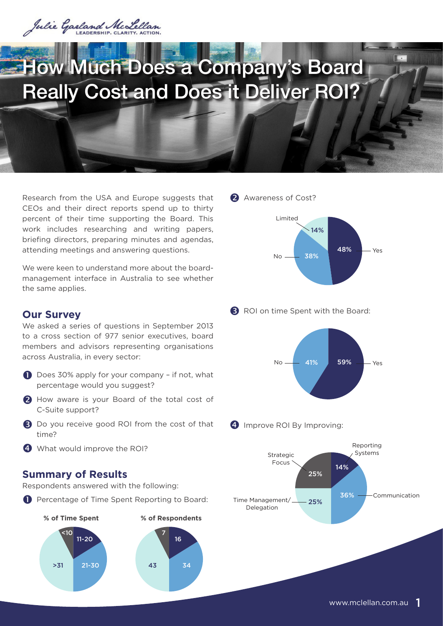

# How Much Does a Company's Board Really Cost and Does it Deliver ROI?

Research from the USA and Europe suggests that CEOs and their direct reports spend up to thirty percent of their time supporting the Board. This work includes researching and writing papers, briefing directors, preparing minutes and agendas, attending meetings and answering questions.

We were keen to understand more about the boardmanagement interface in Australia to see whether the same applies.

## **Our Survey**

We asked a series of questions in September 2013 to a cross section of 977 senior executives, board members and advisors representing organisations across Australia, in every sector:

- Does 30% apply for your company if not, what percentage would you suggest?
- 2 How aware is your Board of the total cost of C-Suite support?
- Do you receive good ROI from the cost of that time?
- 4 What would improve the ROI?

## **Summary of Results**

Respondents answered with the following:

**P** Percentage of Time Spent Reporting to Board:



2 Awareness of Cost?



**B** ROI on time Spent with the Board:



4 Improve ROI By Improving:

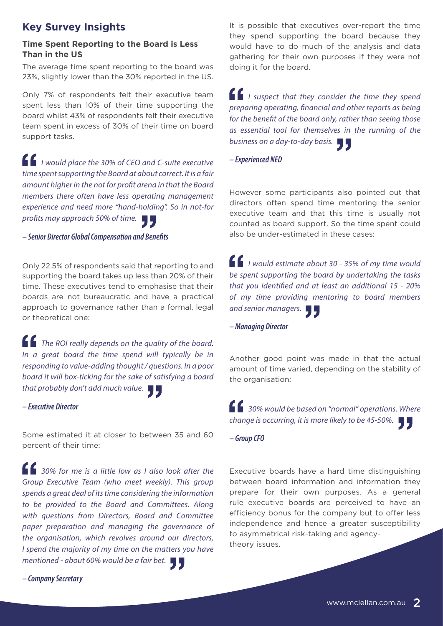# **Key Survey Insights**

## **Time Spent Reporting to the Board is Less Than in the US**

The average time spent reporting to the board was 23%, slightly lower than the 30% reported in the US.

Only 7% of respondents felt their executive team spent less than 10% of their time supporting the board whilst 43% of respondents felt their executive team spent in excess of 30% of their time on board support tasks.

*I would place the 30% of CEO and C-suite executive time spent supporting the Board at about correct. It is a fair amount higher in the not for profit arena in that the Board members there often have less operating management experience and need more "hand-holding". So in not-for profits may approach 50% of time.*

#### *– Senior Director Global Compensation and Benefits*

Only 22.5% of respondents said that reporting to and supporting the board takes up less than 20% of their time. These executives tend to emphasise that their boards are not bureaucratic and have a practical approach to governance rather than a formal, legal or theoretical one:

*The ROI really depends on the quality of the board. In a great board the time spend will typically be in responding to value-adding thought / questions. In a poor board it will box-ticking for the sake of satisfying a board that probably don't add much value.* 

#### *– Executive Director*

Some estimated it at closer to between 35 and 60 percent of their time:

*30% for me is a little low as I also look after the Group Executive Team (who meet weekly). This group spends a great deal of its time considering the information to be provided to the Board and Committees. Along with questions from Directors, Board and Committee paper preparation and managing the governance of the organisation, which revolves around our directors, I spend the majority of my time on the matters you have mentioned - about 60% would be a fair bet.* 

*– Company Secretary*

It is possible that executives over-report the time they spend supporting the board because they would have to do much of the analysis and data gathering for their own purposes if they were not doing it for the board.

*I suspect that they consider the time they spend preparing operating, financial and other reports as being for the benefit of the board only, rather than seeing those as essential tool for themselves in the running of the business on a day-to-day basis.*

*– Experienced NED*

However some participants also pointed out that directors often spend time mentoring the senior executive team and that this time is usually not counted as board support. So the time spent could also be under-estimated in these cases:

*I would estimate about 30 - 35% of my time would be spent supporting the board by undertaking the tasks that you identified and at least an additional 15 - 20% of my time providing mentoring to board members and senior managers.*

*– Managing Director*

Another good point was made in that the actual amount of time varied, depending on the stability of the organisation:

*30% would be based on "normal" operations. Where change is occurring, it is more likely to be 45-50%.* 

#### *– Group CFO*

Executive boards have a hard time distinguishing between board information and information they prepare for their own purposes. As a general rule executive boards are perceived to have an efficiency bonus for the company but to offer less independence and hence a greater susceptibility to asymmetrical risk-taking and agencytheory issues.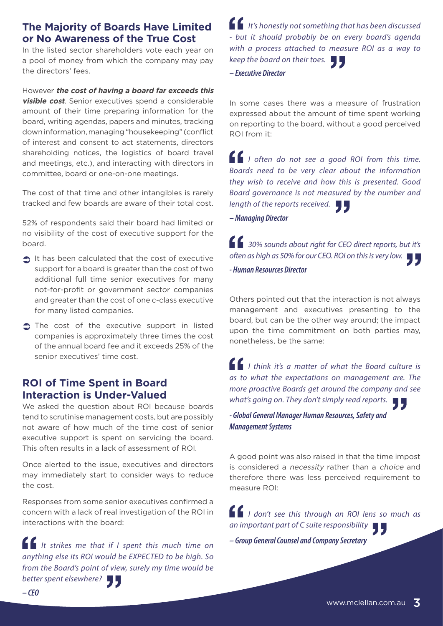# **The Majority of Boards Have Limited or No Awareness of the True Cost**

In the listed sector shareholders vote each year on a pool of money from which the company may pay the directors' fees.

However **the cost of having a board far exceeds this visible cost**. Senior executives spend a considerable amount of their time preparing information for the board, writing agendas, papers and minutes, tracking down information, managing "housekeeping" (conflict of interest and consent to act statements, directors shareholding notices, the logistics of board travel and meetings, etc.), and interacting with directors in committee, board or one-on-one meetings.

The cost of that time and other intangibles is rarely tracked and few boards are aware of their total cost.

52% of respondents said their board had limited or no visibility of the cost of executive support for the board.

- $\bigcirc$  It has been calculated that the cost of executive support for a board is greater than the cost of two additional full time senior executives for many not-for-profit or government sector companies and greater than the cost of one c-class executive for many listed companies.
- $\supset$  The cost of the executive support in listed companies is approximately three times the cost of the annual board fee and it exceeds 25% of the senior executives' time cost.

## **ROI of Time Spent in Board Interaction is Under-Valued**

We asked the question about ROI because boards tend to scrutinise management costs, but are possibly not aware of how much of the time cost of senior executive support is spent on servicing the board. This often results in a lack of assessment of ROI.

Once alerted to the issue, executives and directors may immediately start to consider ways to reduce the cost.

Responses from some senior executives confirmed a concern with a lack of real investigation of the ROI in interactions with the board:

*It strikes me that if I spent this much time on anything else its ROI would be EXPECTED to be high. So from the Board's point of view, surely my time would be better spent elsewhere?*

*It's honestly not something that has been discussed - but it should probably be on every board's agenda with a process attached to measure ROI as a way to keep the board on their toes.*

*– Executive Director*

In some cases there was a measure of frustration expressed about the amount of time spent working on reporting to the board, without a good perceived ROI from it:

*I often do not see a good ROI from this time. Boards need to be very clear about the information they wish to receive and how this is presented. Good Board governance is not measured by the number and length of the reports received.*

*– Managing Director*

*30% sounds about right for CEO direct reports, but it's often as high as 50% for our CEO. ROI on this is very low.* 

*- Human Resources Director*

Others pointed out that the interaction is not always management and executives presenting to the board, but can be the other way around; the impact upon the time commitment on both parties may, nonetheless, be the same:

*I think it's a matter of what the Board culture is as to what the expectations on management are. The more proactive Boards get around the company and see what's going on. They don't simply read reports.*

*- Global General Manager Human Resources, Safety and Management Systems*

A good point was also raised in that the time impost is considered a necessity rather than a choice and therefore there was less perceived requirement to measure ROI:

*I don't see this through an ROI lens so much as an important part of C suite responsibility*

*– Group General Counsel and Company Secretary*